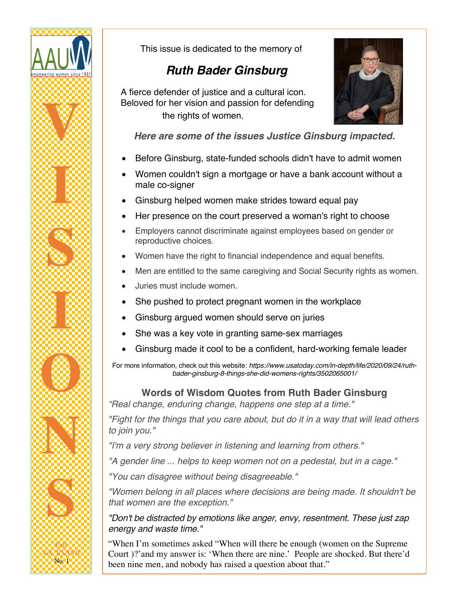

This issue is dedicated to the memory of

# *Ruth Bader Ginsburg*

 A fierce defender of justice and a cultural icon. Beloved for her vision and passion for defending the rights of women.



*Here are some of the issues Justice Ginsburg impacted.*

- Before Ginsburg, state-funded schools didn't have to admit women
- Women couldn't sign a mortgage or have a bank account without a male co-signer
- Ginsburg helped women make strides toward equal pay
- Her presence on the court preserved a woman's right to choose
- Employers cannot discriminate against employees based on gender or reproductive choices.
- Women have the right to financial independence and equal benefits.
- Men are entitled to the same caregiving and Social Security rights as women.
- Juries must include women.
- She pushed to protect pregnant women in the workplace
- Ginsburg argued women should serve on juries
- She was a key vote in granting same-sex marriages
- Ginsburg made it cool to be a confident, hard-working female leader

For more information, check out this website: *https://www.usatoday.com/in-depth/life/2020/09/24/ruthbader-ginsburg-8-things-she-did-womens-rights/3502065001/*

**Words of Wisdom Quotes from Ruth Bader Ginsburg**

*"Real change, enduring change, happens one step at a time."*

*"Fight for the things that you care about, but do it in a way that will lead others to join you."*

*"I'm a very strong believer in listening and learning from others."*

*"A gender line ... helps to keep women not on a pedestal, but in a cage."*

*"You can disagree without being disagreeable."*

*"Women belong in all places where decisions are being made. It shouldn't be that women are the exception."*

*"Don't be distracted by emotions like anger, envy, resentment. These just zap energy and waste time."*

"When I'm sometimes asked "When will there be enough (women on the Supreme Court )?'and my answer is: 'When there are nine.' People are shocked. But there'd been nine men, and nobody has raised a question about that."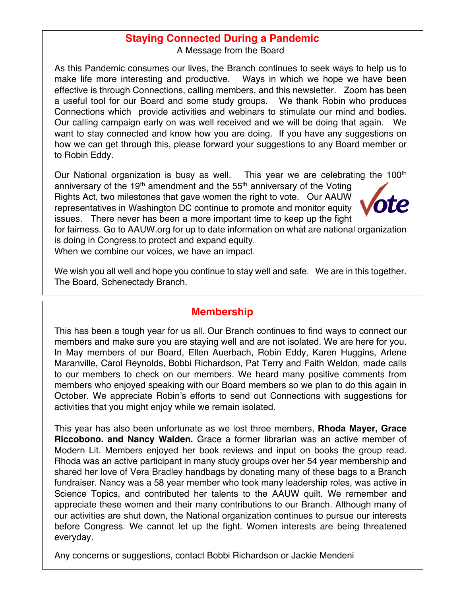# **Staying Connected During a Pandemic**

A Message from the Board

As this Pandemic consumes our lives, the Branch continues to seek ways to help us to make life more interesting and productive. Ways in which we hope we have been effective is through Connections, calling members, and this newsletter. Zoom has been a useful tool for our Board and some study groups. We thank Robin who produces Connections which provide activities and webinars to stimulate our mind and bodies. Our calling campaign early on was well received and we will be doing that again. We want to stay connected and know how you are doing. If you have any suggestions on how we can get through this, please forward your suggestions to any Board member or to Robin Eddy.

Our National organization is busy as well. This year we are celebrating the 100<sup>th</sup>

anniversary of the 19<sup>th</sup> amendment and the  $55<sup>th</sup>$  anniversary of the Voting Rights Act, two milestones that gave women the right to vote. Our AAUW representatives in Washington DC continue to promote and monitor equity issues. There never has been a more important time to keep up the fight



for fairness. Go to AAUW.org for up to date information on what are national organization is doing in Congress to protect and expand equity.

When we combine our voices, we have an impact.

We wish you all well and hope you continue to stay well and safe. We are in this together. The Board, Schenectady Branch.

#### **Membership**

This has been a tough year for us all. Our Branch continues to find ways to connect our members and make sure you are staying well and are not isolated. We are here for you. In May members of our Board, Ellen Auerbach, Robin Eddy, Karen Huggins, Arlene Maranville, Carol Reynolds, Bobbi Richardson, Pat Terry and Faith Weldon, made calls to our members to check on our members. We heard many positive comments from members who enjoyed speaking with our Board members so we plan to do this again in October. We appreciate Robin's efforts to send out Connections with suggestions for activities that you might enjoy while we remain isolated.

This year has also been unfortunate as we lost three members, **Rhoda Mayer, Grace Riccobono. and Nancy Walden.** Grace a former librarian was an active member of Modern Lit. Members enjoyed her book reviews and input on books the group read. Rhoda was an active participant in many study groups over her 54 year membership and shared her love of Vera Bradley handbags by donating many of these bags to a Branch fundraiser. Nancy was a 58 year member who took many leadership roles, was active in Science Topics, and contributed her talents to the AAUW quilt. We remember and appreciate these women and their many contributions to our Branch. Although many of our activities are shut down, the National organization continues to pursue our interests before Congress. We cannot let up the fight. Women interests are being threatened everyday.

Any concerns or suggestions, contact Bobbi Richardson or Jackie Mendeni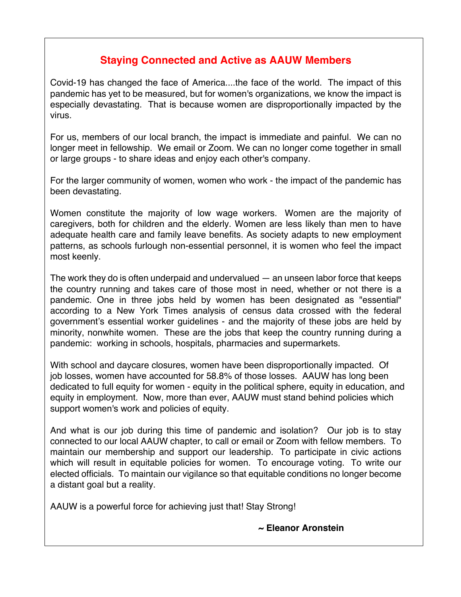### **Staying Connected and Active as AAUW Members**

Covid-19 has changed the face of America....the face of the world. The impact of this pandemic has yet to be measured, but for women's organizations, we know the impact is especially devastating. That is because women are disproportionally impacted by the virus.

For us, members of our local branch, the impact is immediate and painful. We can no longer meet in fellowship. We email or Zoom. We can no longer come together in small or large groups - to share ideas and enjoy each other's company.

For the larger community of women, women who work - the impact of the pandemic has been devastating.

Women constitute the majority of low wage workers. Women are the majority of caregivers, both for children and the elderly. Women are less likely than men to have adequate health care and family leave benefits. As society adapts to new employment patterns, as schools furlough non-essential personnel, it is women who feel the impact most keenly.

The work they do is often underpaid and undervalued — an unseen labor force that keeps the country running and takes care of those most in need, whether or not there is a pandemic. One in three jobs held by women has been designated as "essential" according to a New York Times analysis of census data crossed with the federal government's essential worker guidelines - and the majority of these jobs are held by minority, nonwhite women. These are the jobs that keep the country running during a pandemic: working in schools, hospitals, pharmacies and supermarkets.

With school and daycare closures, women have been disproportionally impacted. Of job losses, women have accounted for 58.8% of those losses. AAUW has long been dedicated to full equity for women - equity in the political sphere, equity in education, and equity in employment. Now, more than ever, AAUW must stand behind policies which support women's work and policies of equity.

And what is our job during this time of pandemic and isolation? Our job is to stay connected to our local AAUW chapter, to call or email or Zoom with fellow members. To maintain our membership and support our leadership. To participate in civic actions which will result in equitable policies for women. To encourage voting. To write our elected officials. To maintain our vigilance so that equitable conditions no longer become a distant goal but a reality.

AAUW is a powerful force for achieving just that! Stay Strong!

 **~ Eleanor Aronstein**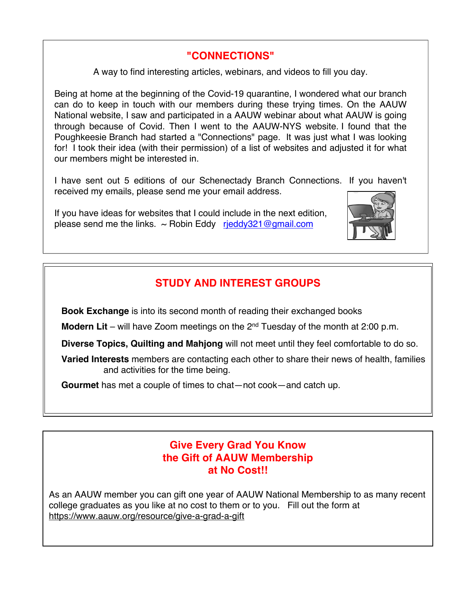### **"CONNECTIONS"**

A way to find interesting articles, webinars, and videos to fill you day.

Being at home at the beginning of the Covid-19 quarantine, I wondered what our branch can do to keep in touch with our members during these trying times. On the AAUW National website, I saw and participated in a AAUW webinar about what AAUW is going through because of Covid. Then I went to the AAUW-NYS website. I found that the Poughkeesie Branch had started a "Connections" page. It was just what I was looking for! I took their idea (with their permission) of a list of websites and adjusted it for what our members might be interested in.

I have sent out 5 editions of our Schenectady Branch Connections. If you haven't received my emails, please send me your email address.

If you have ideas for websites that I could include in the next edition, please send me the links.  $\sim$  Robin Eddy rieddy321@gmail.com



**Book Exchange** is into its second month of reading their exchanged books

**Modern Lit** – will have Zoom meetings on the 2<sup>nd</sup> Tuesday of the month at 2:00 p.m.

 **Diverse Topics, Quilting and Mahjong** will not meet until they feel comfortable to do so.

 **Varied Interests** members are contacting each other to share their news of health, families and activities for the time being.

 **Gourmet** has met a couple of times to chat—not cook—and catch up.

#### **Give Every Grad You Know the Gift of AAUW Membership at No Cost!!**

As an AAUW member you can gift one year of AAUW National Membership to as many recent college graduates as you like at no cost to them or to you. Fill out the form at https://www.aauw.org/resource/give-a-grad-a-gift